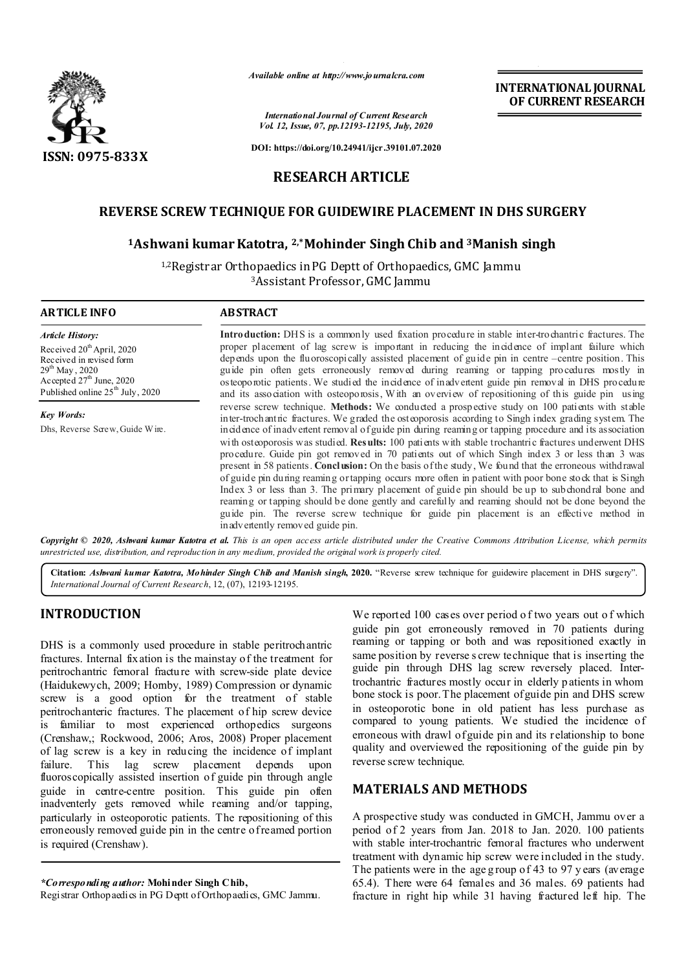

*Available online at http://www.journalcra.com*

*International Journal of Current Research Vol. 12, Issue, 07, pp.12193-12195, July, 2020* **INTERNATIONAL JOURNAL OF CURRENT RESEARCH**

**DOI: https://doi.org/10.24941/ijcr.39101.07.2020**

### **RESEARCH ARTICLE**

# **REVERSE SCREW TECHNIQUE FOR GUIDEWIRE PLACEMENT IN DHS SURGERY**

### **1Ashwani kumar Katotra, 2,\*Mohinder Singh Chib and 3Manish singh**

1,2Registrar Orthopaedics in PG Deptt of Orthopaedics, GMC Jammu 3Assistant Professor, GMC Jammu

| <b>ARTICLE INFO</b>                                                                                                                                                              | <b>ABSTRACT</b>                                                                                                                                                                                                                                                                                                                                                                                                                                                                                                                                                                                                                                                                                                                                                                                                                                                          |
|----------------------------------------------------------------------------------------------------------------------------------------------------------------------------------|--------------------------------------------------------------------------------------------------------------------------------------------------------------------------------------------------------------------------------------------------------------------------------------------------------------------------------------------------------------------------------------------------------------------------------------------------------------------------------------------------------------------------------------------------------------------------------------------------------------------------------------------------------------------------------------------------------------------------------------------------------------------------------------------------------------------------------------------------------------------------|
| <b>Article History:</b>                                                                                                                                                          | Introduction: DHS is a commonly used fixation procedure in stable inter-trochantric fractures. The                                                                                                                                                                                                                                                                                                                                                                                                                                                                                                                                                                                                                                                                                                                                                                       |
| Received 20 <sup>th</sup> April, 2020<br>Received in revised form<br>$29^{th}$ May, 2020<br>Accepted 27 <sup>th</sup> June, 2020<br>Published online 25 <sup>th</sup> July, 2020 | proper placement of lag screw is important in reducing the incidence of implant failure which<br>depends upon the fluoroscopically assisted placement of guide pin in centre –centre position. This<br>guide pin often gets erroneously removed during reaming or tapping procedures mostly in<br>osteoporotic patients. We studied the incidence of inadvertent guide pin removal in DHS procedure<br>and its association with osteoporosis, With an overview of repositioning of this guide pin using                                                                                                                                                                                                                                                                                                                                                                  |
| <b>Key Words:</b>                                                                                                                                                                | reverse screw technique. Methods: We conducted a prospective study on 100 patients with stable<br>inter-trochantric fractures. We graded the osteoporosis according to Singh index grading system. The                                                                                                                                                                                                                                                                                                                                                                                                                                                                                                                                                                                                                                                                   |
| Dhs, Reverse Screw, Guide Wire.                                                                                                                                                  | incidence of inadvertent removal of guide pin during reaming or tapping procedure and its association<br>with osteoporosis was studied. Results: 100 patients with stable trochantric fractures underwent DHS<br>procedure. Guide pin got removed in 70 patients out of which Singh index 3 or less than 3 was<br>present in 58 patients. Conclusion: On the basis of the study, We found that the erroneous withdrawal<br>of guide pin during reaming ortapping occurs more often in patient with poor bone stock that is Singh<br>Index 3 or less than 3. The primary placement of guide pin should be up to subchondral bone and<br>reaming or tapping should be done gently and carefully and reaming should not be done beyond the<br>guide pin. The reverse screw technique for guide pin placement is an effective method in<br>in advertently removed guide pin. |

Copyright © 2020, Ashwani kumar Katotra et al. This is an open access article distributed under the Creative Commons Attribution License, which permits *unrestricted use, distribution, and reproduction in any medium, provided the original work is properly cited.*

**Citation:** *Ashwani kumar Katotra, Mohinder Singh Chib and Manish singh***, 2020.** "Reverse screw technique for guidewire placement in DHS surgery". *International Journal of Current Research*, 12, (07), 12193-12195.

# **INTRODUCTION**

DHS is a commonly used procedure in stable peritrochantric fractures. Internal fixation is the mainstay of the treatment for peritrochantric femoral fracture with screw-side plate device (Haidukewych, 2009; Hornby, 1989) Compression or dynamic screw is a good option for the treatment of stable peritrochanteric fractures. The placement of hip screw device is familiar to most experienced orthopedics surgeons (Crenshaw,; Rockwood, 2006; Aros, 2008) Proper placement of lag screw is a key in reducing the incidence of implant failure. This lag screw placement depends upon fluoroscopically assisted insertion of guide pin through angle guide in centre-centre position. This guide pin often inadventerly gets removed while reaming and/or tapping, particularly in osteoporotic patients. The repositioning of this erroneously removed guide pin in the centre of reamed portion is required (Crenshaw).

We reported 100 cases over period of two years out of which guide pin got erroneously removed in 70 patients during reaming or tapping or both and was repositioned exactly in same position by reverse s crew technique that is inserting the guide pin through DHS lag screw reversely placed. Intertrochantric fractures mostly occur in elderly p atients in whom bone stock is poor. The placement of guide pin and DHS screw in osteoporotic bone in old patient has less purchase as compared to young patients. We studied the incidence of erroneous with drawl of guide pin and its relationship to bone quality and overviewed the repositioning of the guide pin by reverse screw technique.

### **MATERIALS AND METHODS**

A prospective study was conducted in GMCH, Jammu over a period of 2 years from Jan. 2018 to Jan. 2020. 100 patients with stable inter-trochantric femoral fractures who underwent treatment with dynamic hip screw were included in the study. The patients were in the age g roup of 43 to 97 y ears (average 65.4). There were 64 females and 36 males. 69 patients had fracture in right hip while 31 having fractured left hip. The

*<sup>\*</sup>Corresponding author:* **Mohinder Singh Chib,** 

Registrar Orthopaedics in PG Deptt of Orthopaedics, GMC Jammu.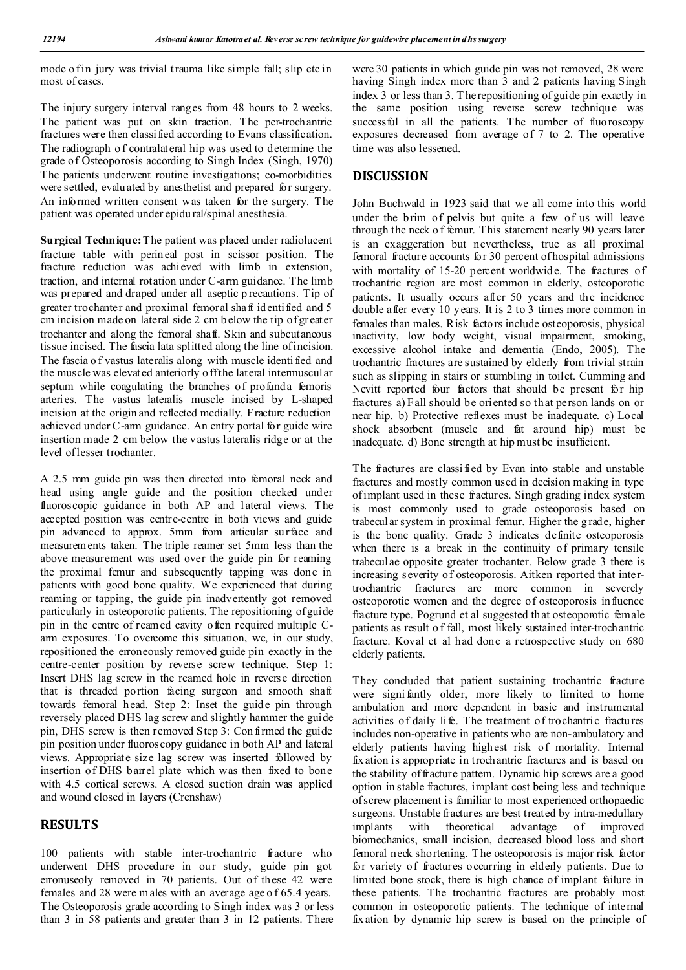mode o fin jury was trivial trauma like simple fall; slip etc in most of cases.

The injury surgery interval ranges from 48 hours to 2 weeks. The patient was put on skin traction. The per-trochantric fractures were then classified according to Evans classification. The radiograph o f contralateral hip was used to determine the grade of Osteoporosis according to Singh Index (Singh, 1970) The patients underwent routine investigations; co-morbidities were settled, evaluated by anesthetist and prepared for surgery. An informed written consent was taken for the surgery. The patient was operated under epidu ral/spinal anesthesia.

**Surgical Technique:** The patient was placed under radiolucent fracture table with perineal post in scissor position. The fracture reduction was achieved with limb in extension, traction, and internal rotation under C-arm guidance. The limb was prepared and draped under all aseptic p recautions. Tip of greater trochanter and proximal femoral shaft identified and 5 cm incision made on lateral side 2 cm b elow the tip of greater trochanter and along the femoral shaft. Skin and subcutaneous tissue incised. The fascia lata splitted along the line of incision. The fascia o f vastus lateralis along with muscle identi fied and the muscle was elevated anteriorly o ff the lateral intermuscular septum while coagulating the branches of profunda femoris arteries. The vastus lateralis muscle incised by L-shaped incision at the origin and reflected medially. Fracture reduction achieved under C-arm guidance. An entry portal for guide wire insertion made 2 cm below the vastus lateralis ridge or at the level of lesser trochanter.

A 2.5 mm guide pin was then directed into femoral neck and head using angle guide and the position checked under fluoroscopic guidance in both AP and lateral views. The accepted position was centre-centre in both views and guide pin advanced to approx. 5mm from articular surface and measurements taken. The triple reamer set 5mm less than the above measurement was used over the guide pin for reaming the proximal femur and subsequently tapping was done in patients with good bone quality. We experienced that during reaming or tapping, the guide pin inadvertently got removed particularly in osteoporotic patients. The repositioning of guide pin in the centre of reamed cavity often required multiple Carm exposures. To overcome this situation, we, in our study, repositioned the erroneously removed guide pin exactly in the centre-center position by reverse screw technique. Step 1: Insert DHS lag screw in the reamed hole in reverse direction that is threaded portion facing surgeon and smooth shaft towards femoral head. Step 2: Inset the guide pin through reversely placed DHS lag screw and slightly hammer the guide pin, DHS screw is then removed Step 3: Con firmed the guide pin position under fluoroscopy guidance in both AP and lateral views. Appropriate size lag screw was inserted followed by insertion of DHS barrel plate which was then fixed to bone with 4.5 cortical screws. A closed suction drain was applied and wound closed in layers (Crenshaw)

# **RESULTS**

100 patients with stable inter-trochantric fracture who underwent DHS procedure in our study, guide pin got erronuseoly removed in 70 patients. Out of these 42 were females and 28 were m ales with an average age o f 65.4 years. The Osteoporosis grade according to Singh index was 3 or less than 3 in 58 patients and greater than 3 in 12 patients. There

were 30 patients in which guide pin was not removed, 28 were having Singh index more than 3 and 2 patients having Singh index 3 or less than 3. T he repositioning of guide pin exactly in the same position using reverse screw technique was successful in all the patients. The number of fluoroscopy exposures decreased from average of 7 to 2. The operative time was also lessened.

# **DISCUSSION**

John Buchwald in 1923 said that we all come into this world under the brim of pelvis but quite a few of us will leave through the neck o f femur. This statement nearly 90 years later is an exaggeration but nevertheless, true as all proximal femoral fracture accounts for 30 percent of hospital admissions with mortality of 15-20 percent worldwide. The fractures of trochantric region are most common in elderly, osteoporotic patients. It usually occurs after 50 years and the incidence double after every 10 years. It is 2 to 3 times more common in females than males. Risk factors include osteoporosis, physical inactivity, low body weight, visual impairment, smoking, excessive alcohol intake and dementia (Endo, 2005). The trochantric fractures are sustained by elderly from trivial strain such as slipping in stairs or stumbling in toilet. Cumming and Nevitt reported four factors that should be present for hip fractures a) Fall should be oriented so that person lands on or near hip. b) Protective reflexes must be inadequate. c) Local shock absorbent (muscle and fat around hip) must be inadequate. d) Bone strength at hip must be insufficient.

The fractures are classi fied by Evan into stable and unstable fractures and mostly common used in decision making in type of implant used in these fractures. Singh grading index system is most commonly used to grade osteoporosis based on trabecular system in proximal femur. Higher the g rade, higher is the bone quality. Grade 3 indicates definite osteoporosis when there is a break in the continuity of primary tensile trabeculae opposite greater trochanter. Below grade 3 there is increasing severity of osteoporosis. Aitken reported that intertrochantric fractures are more common in severely osteoporotic women and the degree of osteoporosis influence fracture type. Pogrund et al suggested that osteoporotic female patients as result o f fall, most likely sustained inter-trochantric fracture. Koval et al had done a retrospective study on 680 elderly patients.

They concluded that patient sustaining trochantric fracture were signi fantly older, more likely to limited to home ambulation and more dependent in basic and instrumental activities of daily li fe. The treatment of trochantric fractures includes non-operative in patients who are non-ambulatory and elderly patients having highest risk of mortality. Internal fixation is appropriate in trochantric fractures and is based on the stability of fracture pattern. Dynamic hip screws are a good option in stable fractures, implant cost being less and technique of screw placement is familiar to most experienced orthopaedic surgeons. Unstable fractures are best treated by intra-medullary implants with theoretical advantage of improved biomechanics, small incision, decreased blood loss and short femoral neck shortening. T he osteoporosis is major risk factor for variety of fractures occurring in elderly patients. Due to limited bone stock, there is high chance of implant failure in these patients. The trochantric fractures are probably most common in osteoporotic patients. The technique of internal fixation by dynamic hip screw is based on the principle of